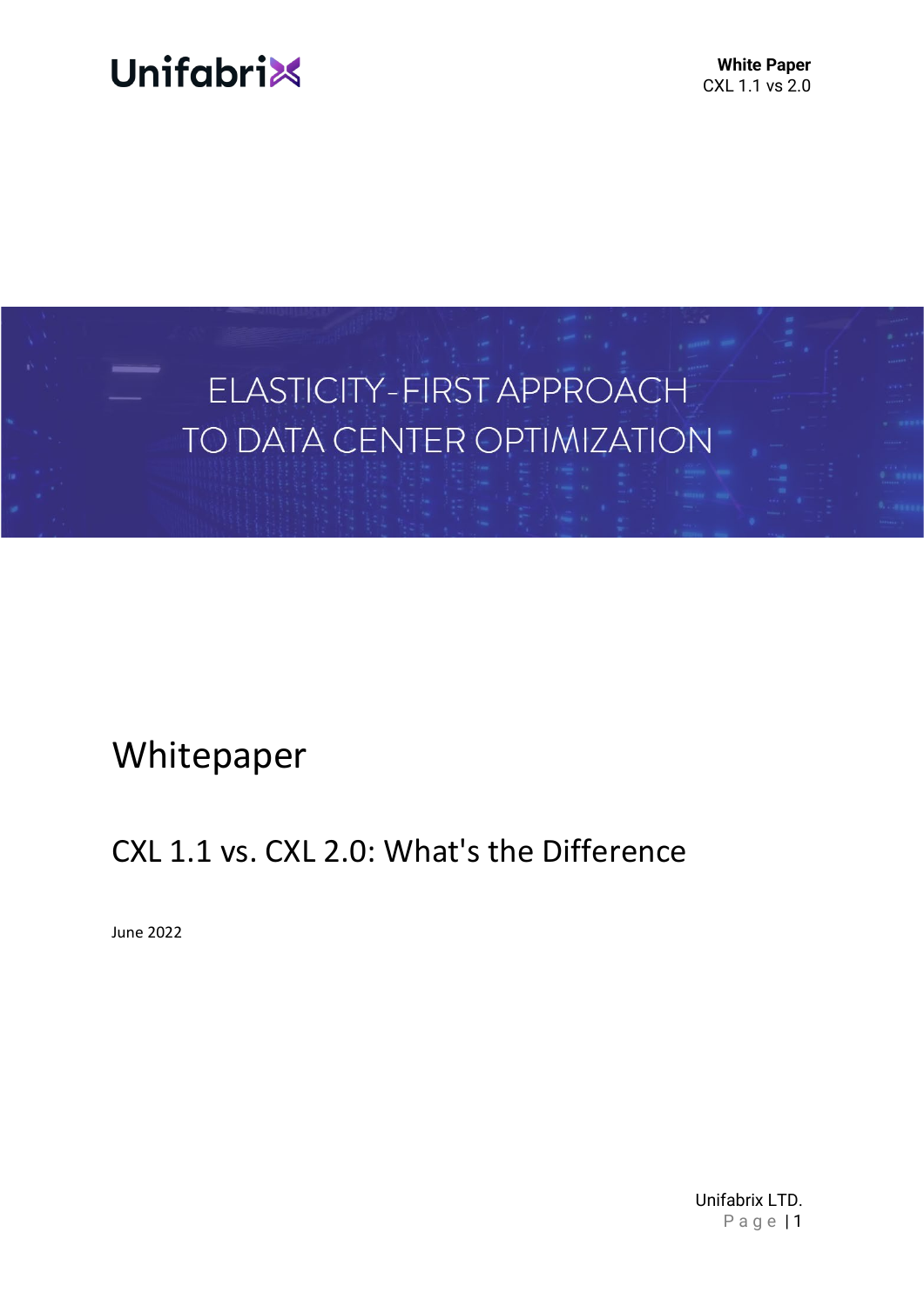

**White Paper** CXL 1.1 vs 2.0



# Whitepaper

# CXL 1.1 vs. CXL 2.0: What's the Difference

June 2022

Unifabrix LTD. Page | 1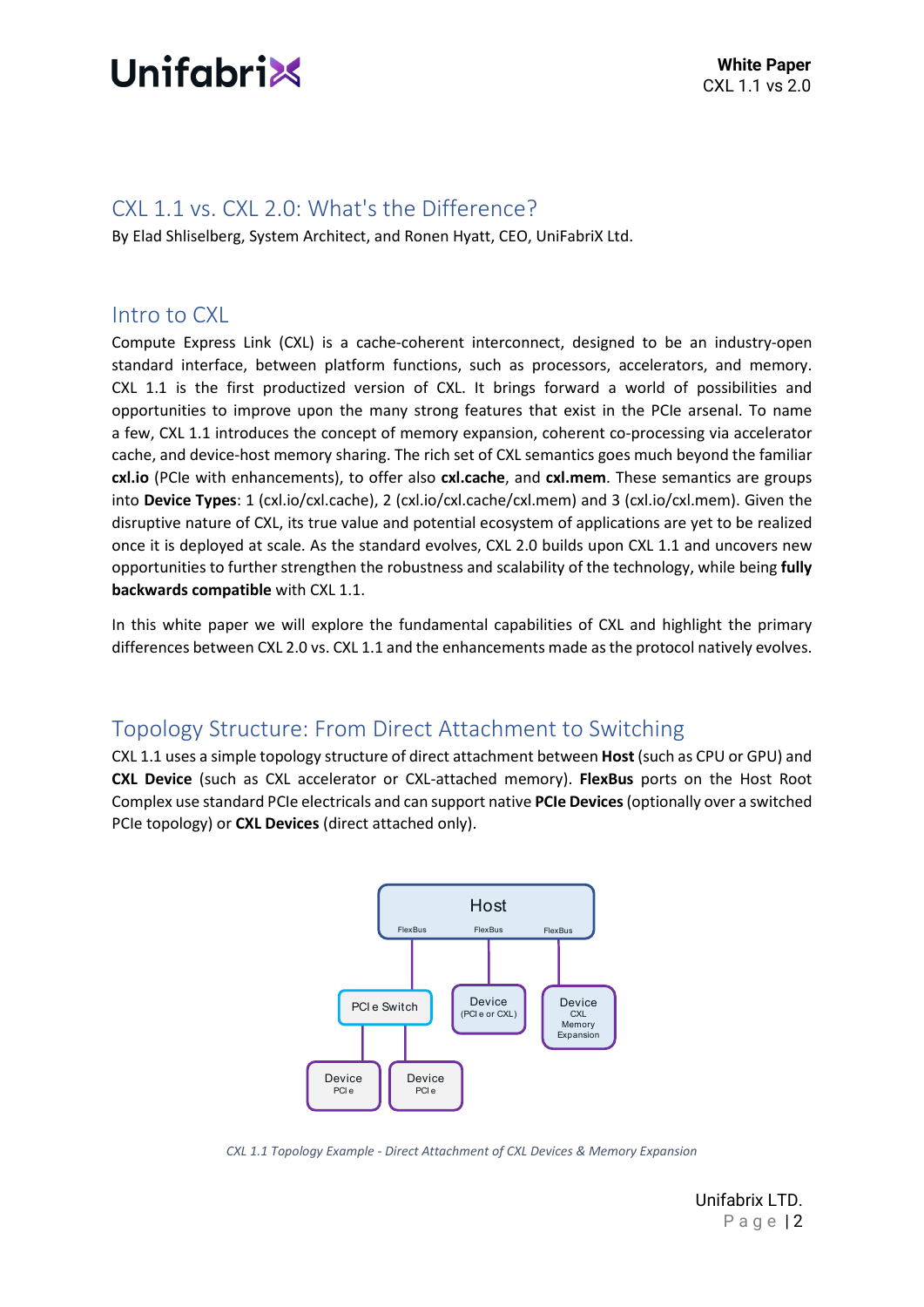

#### CXL 1.1 vs. CXL 2.0: What's the Difference?

By Elad Shliselberg, System Architect, and Ronen Hyatt, CEO, UniFabriX Ltd.

#### Intro to CXL

Compute Express Link (CXL) is a cache-coherent interconnect, designed to be an industry-open standard interface, between platform functions, such as processors, accelerators, and memory. CXL 1.1 is the first productized version of CXL. It brings forward a world of possibilities and opportunities to improve upon the many strong features that exist in the PCIe arsenal. To name a few, CXL 1.1 introduces the concept of memory expansion, coherent co-processing via accelerator cache, and device-host memory sharing. The rich set of CXL semantics goes much beyond the familiar **cxl.io** (PCIe with enhancements), to offer also **cxl.cache**, and **cxl.mem**. These semantics are groups into **Device Types**: 1 (cxl.io/cxl.cache), 2 (cxl.io/cxl.cache/cxl.mem) and 3 (cxl.io/cxl.mem). Given the disruptive nature of CXL, its true value and potential ecosystem of applications are yet to be realized once it is deployed at scale. As the standard evolves, CXL 2.0 builds upon CXL 1.1 and uncovers new opportunities to further strengthen the robustness and scalability of the technology, while being **fully backwards compatible** with CXL 1.1.

In this white paper we will explore the fundamental capabilities of CXL and highlight the primary differences between CXL 2.0 vs. CXL 1.1 and the enhancements made as the protocol natively evolves.

### Topology Structure: From Direct Attachment to Switching

CXL 1.1 uses a simple topology structure of direct attachment between **Host** (such as CPU or GPU) and **CXL Device** (such as CXL accelerator or CXL-attached memory). **FlexBus** ports on the Host Root Complex use standard PCIe electricals and can support native **PCIe Devices**(optionally over a switched PCIe topology) or **CXL Devices** (direct attached only).



*CXL 1.1 Topology Example - Direct Attachment of CXL Devices & Memory Expansion*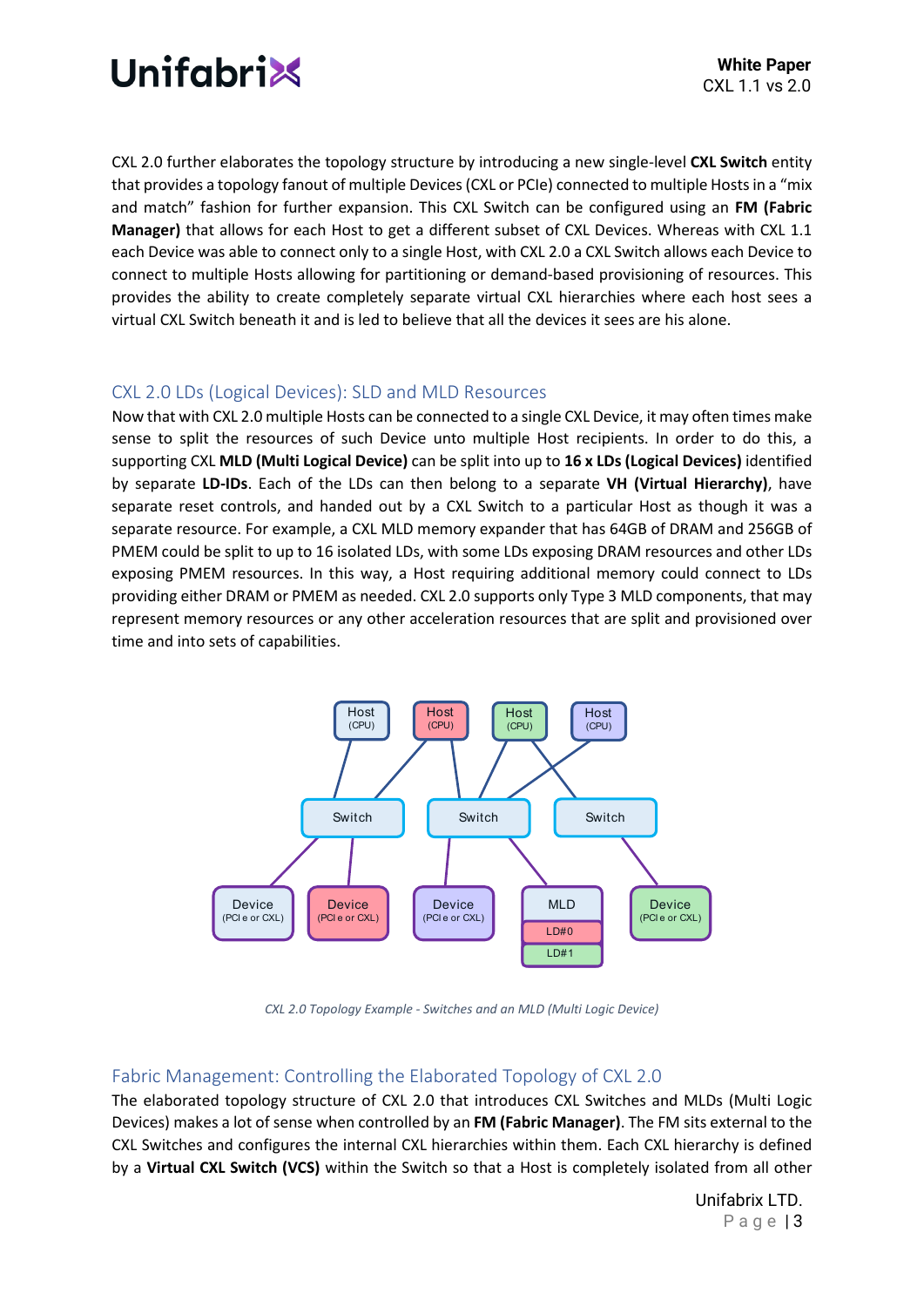

CXL 2.0 further elaborates the topology structure by introducing a new single-level **CXL Switch** entity that provides a topology fanout of multiple Devices (CXL or PCIe) connected to multiple Hosts in a "mix and match" fashion for further expansion. This CXL Switch can be configured using an **FM (Fabric Manager)** that allows for each Host to get a different subset of CXL Devices. Whereas with CXL 1.1 each Device was able to connect only to a single Host, with CXL 2.0 a CXL Switch allows each Device to connect to multiple Hosts allowing for partitioning or demand-based provisioning of resources. This provides the ability to create completely separate virtual CXL hierarchies where each host sees a virtual CXL Switch beneath it and is led to believe that all the devices it sees are his alone.

#### CXL 2.0 LDs (Logical Devices): SLD and MLD Resources

Now that with CXL 2.0 multiple Hosts can be connected to a single CXL Device, it may often times make sense to split the resources of such Device unto multiple Host recipients. In order to do this, a supporting CXL **MLD (Multi Logical Device)** can be split into up to **16 x LDs (Logical Devices)** identified by separate **LD-IDs**. Each of the LDs can then belong to a separate **VH (Virtual Hierarchy)**, have separate reset controls, and handed out by a CXL Switch to a particular Host as though it was a separate resource. For example, a CXL MLD memory expander that has 64GB of DRAM and 256GB of PMEM could be split to up to 16 isolated LDs, with some LDs exposing DRAM resources and other LDs exposing PMEM resources. In this way, a Host requiring additional memory could connect to LDs providing either DRAM or PMEM as needed. CXL 2.0 supports only Type 3 MLD components, that may represent memory resources or any other acceleration resources that are split and provisioned over time and into sets of capabilities.



*CXL 2.0 Topology Example - Switches and an MLD (Multi Logic Device)*

#### Fabric Management: Controlling the Elaborated Topology of CXL 2.0

The elaborated topology structure of CXL 2.0 that introduces CXL Switches and MLDs (Multi Logic Devices) makes a lot of sense when controlled by an **FM (Fabric Manager)**. The FM sits external to the CXL Switches and configures the internal CXL hierarchies within them. Each CXL hierarchy is defined by a **Virtual CXL Switch (VCS)** within the Switch so that a Host is completely isolated from all other

> Unifabrix LTD. Page | 3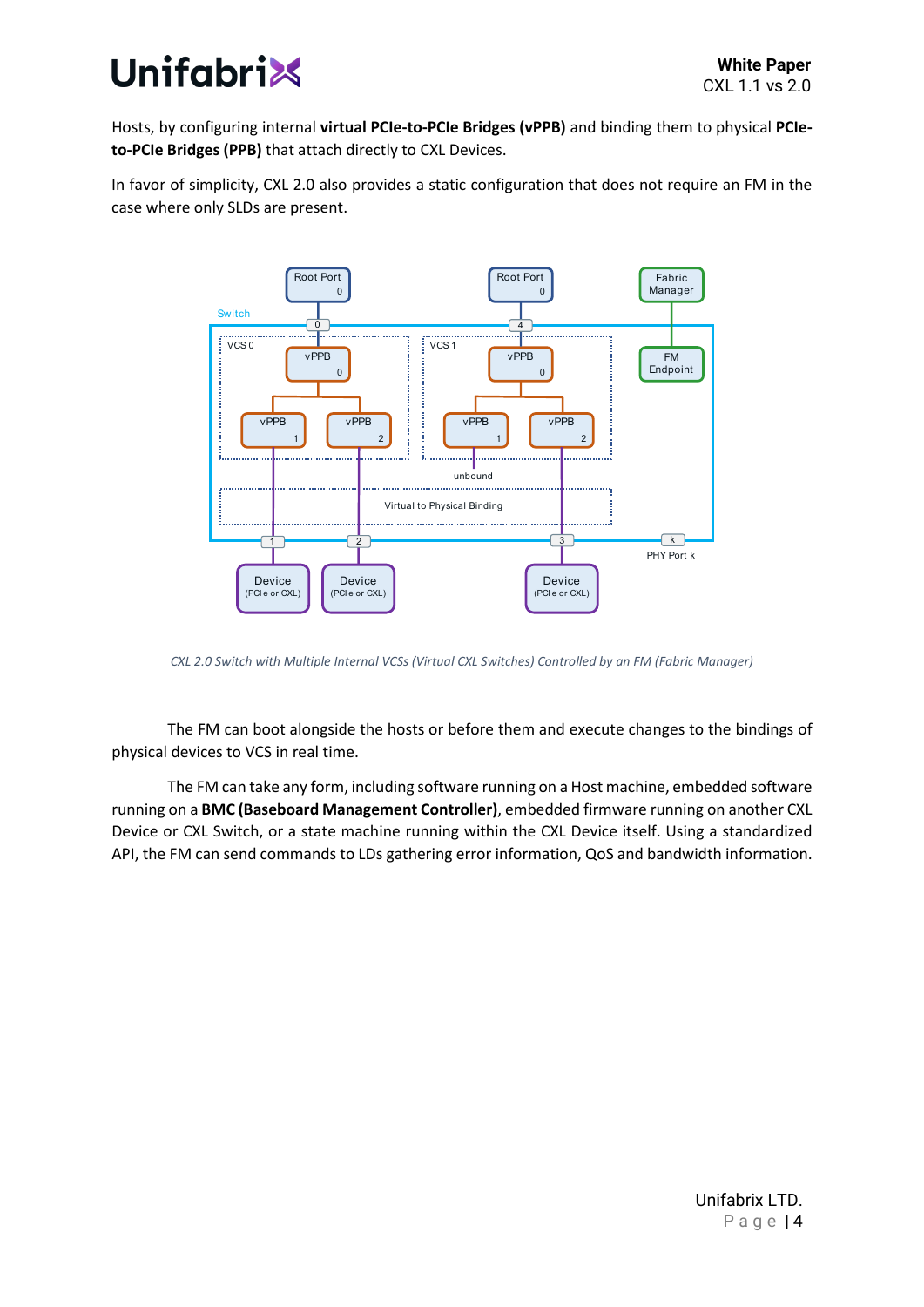

Hosts, by configuring internal **virtual PCIe-to-PCIe Bridges (vPPB)** and binding them to physical **PCIeto-PCIe Bridges (PPB)** that attach directly to CXL Devices.

In favor of simplicity, CXL 2.0 also provides a static configuration that does not require an FM in the case where only SLDs are present.



*CXL 2.0 Switch with Multiple Internal VCSs (Virtual CXL Switches) Controlled by an FM (Fabric Manager)*

The FM can boot alongside the hosts or before them and execute changes to the bindings of physical devices to VCS in real time.

The FM can take any form, including software running on a Host machine, embedded software running on a **BMC (Baseboard Management Controller)**, embedded firmware running on another CXL Device or CXL Switch, or a state machine running within the CXL Device itself. Using a standardized API, the FM can send commands to LDs gathering error information, QoS and bandwidth information.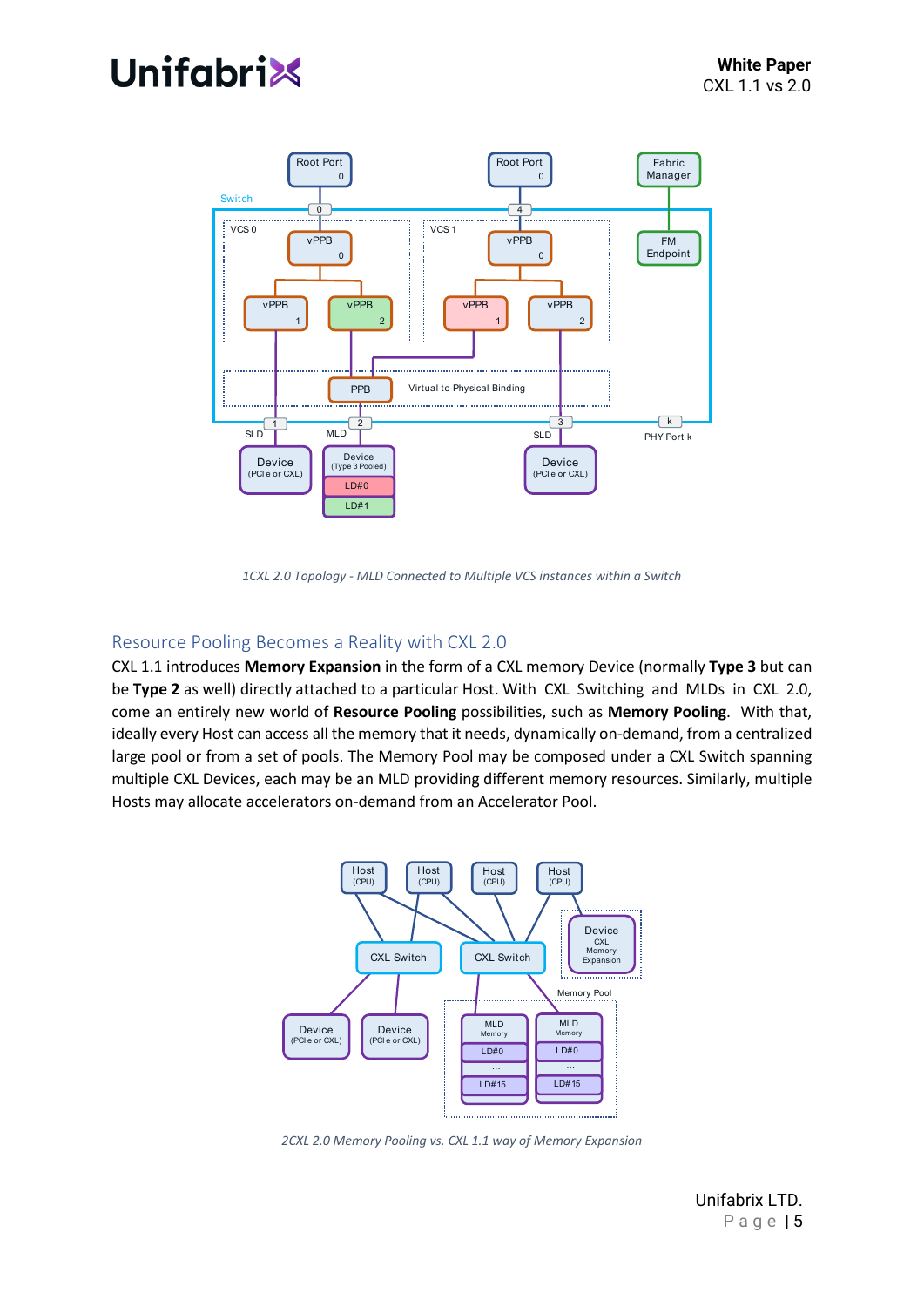# **Unifabri**



*1CXL 2.0 Topology - MLD Connected to Multiple VCS instances within a Switch*

#### Resource Pooling Becomes a Reality with CXL 2.0

CXL 1.1 introduces **Memory Expansion** in the form of a CXL memory Device (normally **Type 3** but can be **Type 2** as well) directly attached to a particular Host. With CXL Switching and MLDs in CXL 2.0, come an entirely new world of **Resource Pooling** possibilities, such as **Memory Pooling**. With that, ideally every Host can access all the memory that it needs, dynamically on-demand, from a centralized large pool or from a set of pools. The Memory Pool may be composed under a CXL Switch spanning multiple CXL Devices, each may be an MLD providing different memory resources. Similarly, multiple Hosts may allocate accelerators on-demand from an Accelerator Pool.



*2CXL 2.0 Memory Pooling vs. CXL 1.1 way of Memory Expansion*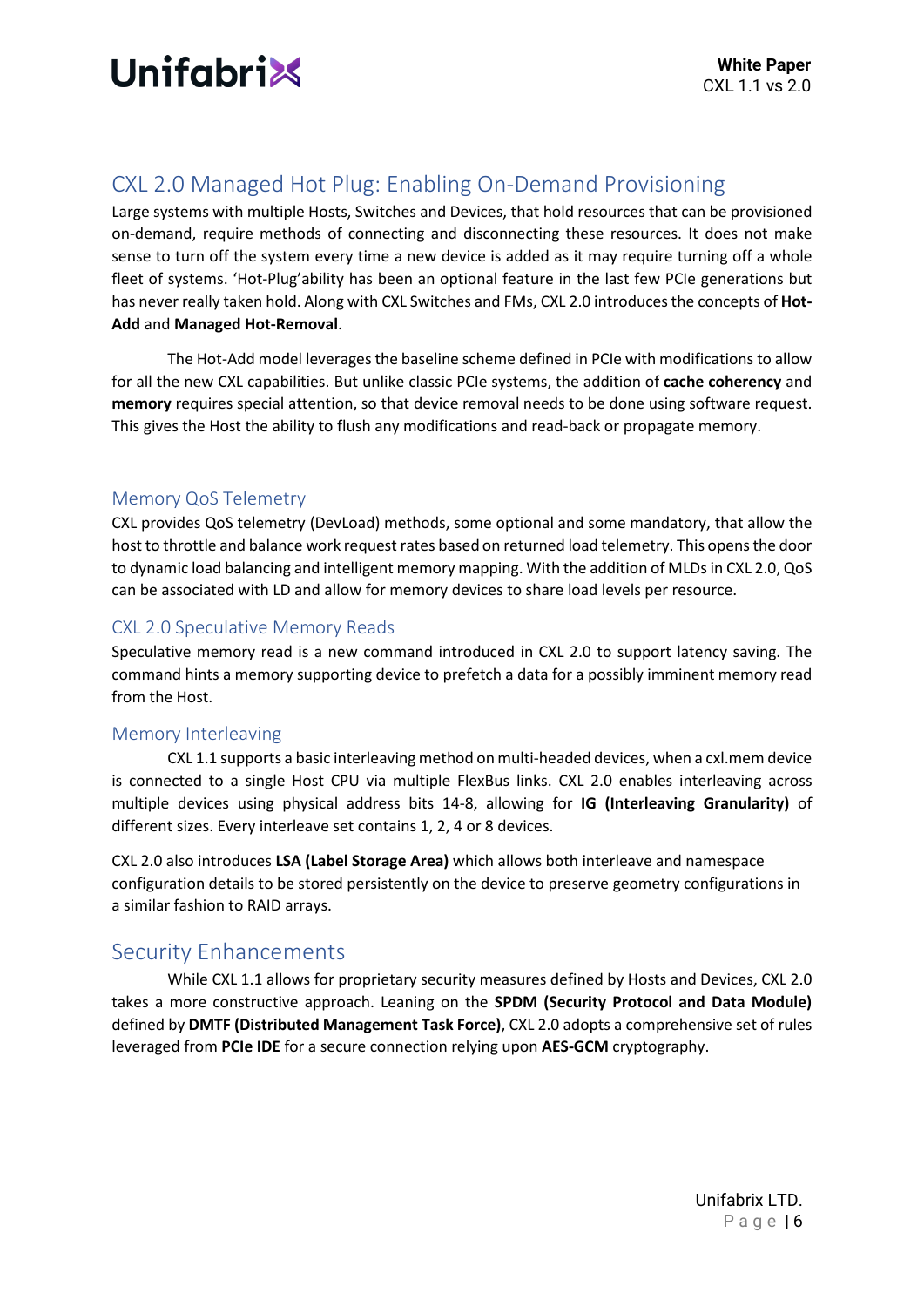

## CXL 2.0 Managed Hot Plug: Enabling On-Demand Provisioning

Large systems with multiple Hosts, Switches and Devices, that hold resources that can be provisioned on-demand, require methods of connecting and disconnecting these resources. It does not make sense to turn off the system every time a new device is added as it may require turning off a whole fleet of systems. 'Hot-Plug'ability has been an optional feature in the last few PCIe generations but has never really taken hold. Along with CXL Switches and FMs, CXL 2.0 introduces the concepts of **Hot-Add** and **Managed Hot-Removal**.

The Hot-Add model leverages the baseline scheme defined in PCIe with modifications to allow for all the new CXL capabilities. But unlike classic PCIe systems, the addition of **cache coherency** and **memory** requires special attention, so that device removal needs to be done using software request. This gives the Host the ability to flush any modifications and read-back or propagate memory.

#### Memory QoS Telemetry

CXL provides QoS telemetry (DevLoad) methods, some optional and some mandatory, that allow the host to throttle and balance work request rates based on returned load telemetry. This opens the door to dynamic load balancing and intelligent memory mapping. With the addition of MLDs in CXL 2.0, QoS can be associated with LD and allow for memory devices to share load levels per resource.

#### CXL 2.0 Speculative Memory Reads

Speculative memory read is a new command introduced in CXL 2.0 to support latency saving. The command hints a memory supporting device to prefetch a data for a possibly imminent memory read from the Host.

#### Memory Interleaving

CXL 1.1 supports a basic interleaving method on multi-headed devices, when a cxl.mem device is connected to a single Host CPU via multiple FlexBus links. CXL 2.0 enables interleaving across multiple devices using physical address bits 14-8, allowing for **IG (Interleaving Granularity)** of different sizes. Every interleave set contains 1, 2, 4 or 8 devices.

CXL 2.0 also introduces **LSA (Label Storage Area)** which allows both interleave and namespace configuration details to be stored persistently on the device to preserve geometry configurations in a similar fashion to RAID arrays.

#### Security Enhancements

While CXL 1.1 allows for proprietary security measures defined by Hosts and Devices, CXL 2.0 takes a more constructive approach. Leaning on the **SPDM (Security Protocol and Data Module)** defined by **DMTF (Distributed Management Task Force)**, CXL 2.0 adopts a comprehensive set of rules leveraged from **PCIe IDE** for a secure connection relying upon **AES-GCM** cryptography.